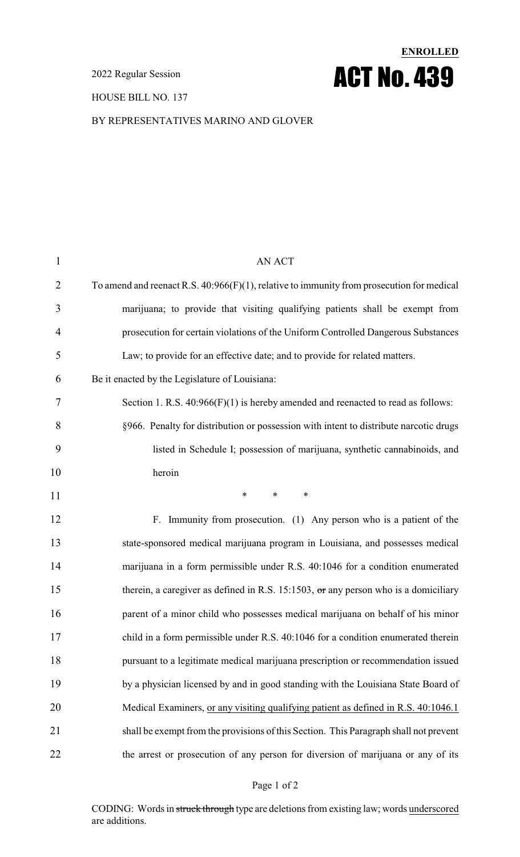2022 Regular Session

HOUSE BILL NO. 137

# **ENROLLED** ACT No. 439

#### BY REPRESENTATIVES MARINO AND GLOVER

| $\mathbf{1}$   | <b>AN ACT</b>                                                                                |
|----------------|----------------------------------------------------------------------------------------------|
| $\overline{2}$ | To amend and reenact R.S. $40:966(F)(1)$ , relative to immunity from prosecution for medical |
| 3              | marijuana; to provide that visiting qualifying patients shall be exempt from                 |
| $\overline{4}$ | prosecution for certain violations of the Uniform Controlled Dangerous Substances            |
| 5              | Law; to provide for an effective date; and to provide for related matters.                   |
| 6              | Be it enacted by the Legislature of Louisiana:                                               |
| 7              | Section 1. R.S. $40:966(F)(1)$ is hereby amended and reenacted to read as follows:           |
| 8              | §966. Penalty for distribution or possession with intent to distribute narcotic drugs        |
| 9              | listed in Schedule I; possession of marijuana, synthetic cannabinoids, and                   |
| 10             | heroin                                                                                       |
| 11             | $*$ $*$<br>$\ast$<br>$\ast$                                                                  |
| 12             | F. Immunity from prosecution. (1) Any person who is a patient of the                         |
| 13             | state-sponsored medical marijuana program in Louisiana, and possesses medical                |
| 14             | marijuana in a form permissible under R.S. 40:1046 for a condition enumerated                |
| 15             | therein, a caregiver as defined in R.S. 15:1503, $\sigma$ r any person who is a domiciliary  |
| 16             | parent of a minor child who possesses medical marijuana on behalf of his minor               |
| 17             | child in a form permissible under R.S. 40:1046 for a condition enumerated therein            |
| 18             | pursuant to a legitimate medical marijuana prescription or recommendation issued             |
| 19             | by a physician licensed by and in good standing with the Louisiana State Board of            |
| 20             | Medical Examiners, or any visiting qualifying patient as defined in R.S. 40:1046.1           |
| 21             | shall be exempt from the provisions of this Section. This Paragraph shall not prevent        |
| 22             | the arrest or prosecution of any person for diversion of marijuana or any of its             |
|                |                                                                                              |

#### Page 1 of 2

CODING: Words in struck through type are deletions from existing law; words underscored are additions.